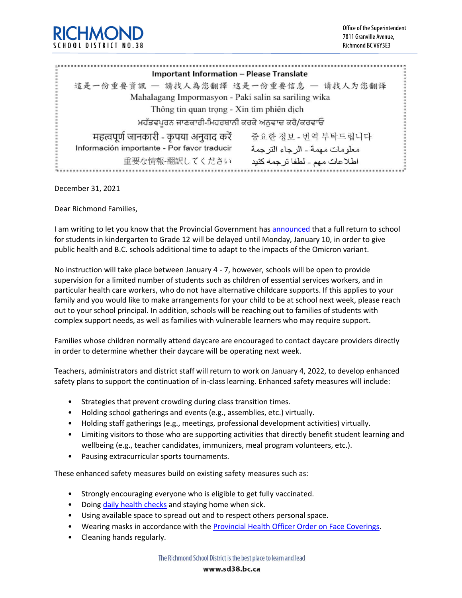

| <b>Important Information - Please Translate</b>      |                                  |
|------------------------------------------------------|----------------------------------|
| 這是一份重要資訊 一 請找人為您翻譯 这是一份重要信息 一 请找人为您翻译                |                                  |
| Mahalagang Impormasyon - Paki salin sa sariling wika |                                  |
| Thông tin quan trọng - Xin tìm phiên dịch            |                                  |
| ਮਹੱਤਵਪੂਰਨ ਜਾਣਕਾਰੀ-ਮਿਹਰਬਾਨੀ ਕਰਕੇ ਅਨੁਵਾਦ ਕਰੋ/ਕਰਵਾਓ     |                                  |
| महत्वपूर्ण जानकारी - कृपया अनुवाद करें               | 중요한 정보 - 번역 부탁드립니다               |
| Información importante - Por favor traducir          | معلو مات مهمة ـ الر جاء التر جمة |
| 重要な情報-翻訳してください                                       | اطلاعات مهم - لطفا ترجمه كنيد    |

December 31, 2021

Dear Richmond Families,

I am writing to let you know that the Provincial Government has [announced](https://sd38.bc.ca/news/2021-12-29/ministry-education-enhanced-safety-measures-delayed-return-school) that a full return to school for students in kindergarten to Grade 12 will be delayed until Monday, January 10, in order to give public health and B.C. schools additional time to adapt to the impacts of the Omicron variant.

No instruction will take place between January 4 - 7, however, schools will be open to provide supervision for a limited number of students such as children of essential services workers, and in particular health care workers, who do not have alternative childcare supports. If this applies to your family and you would like to make arrangements for your child to be at school next week, please reach out to your school principal. In addition, schools will be reaching out to families of students with complex support needs, as well as families with vulnerable learners who may require support.

Families whose children normally attend daycare are encouraged to contact daycare providers directly in order to determine whether their daycare will be operating next week.

Teachers, administrators and district staff will return to work on January 4, 2022, to develop enhanced safety plans to support the continuation of in-class learning. Enhanced safety measures will include:

- Strategies that prevent crowding during class transition times.
- Holding school gatherings and events (e.g., assemblies, etc.) virtually.
- Holding staff gatherings (e.g., meetings, professional development activities) virtually.
- Limiting visitors to those who are supporting activities that directly benefit student learning and wellbeing (e.g., teacher candidates, immunizers, meal program volunteers, etc.).
- Pausing extracurricular sports tournaments.

These enhanced safety measures build on existing safety measures such as:

- Strongly encouraging everyone who is eligible to get fully vaccinated.
- Doing [daily health checks](https://www.k12dailycheck.gov.bc.ca/healthcheck?execution=e1s1) and staying home when sick.
- Using available space to spread out and to respect others personal space.
- Wearing masks in accordance with the [Provincial Health Officer Order on Face Coverings.](https://www2.gov.bc.ca/assets/gov/health/about-bc-s-health-care-system/office-of-the-provincial-health-officer/covid-19/covid-19-pho-order-face-coverings.pdf)
- Cleaning hands regularly.

The Richmond School District is the best place to learn and lead

www.sd38.bc.ca